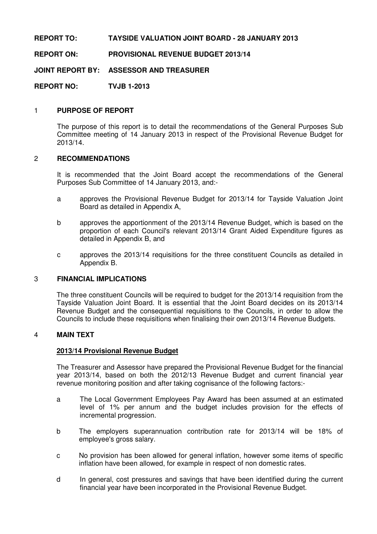# **REPORT TO: TAYSIDE VALUATION JOINT BOARD - 28 JANUARY 2013**

# **REPORT ON: PROVISIONAL REVENUE BUDGET 2013/14**

**JOINT REPORT BY: ASSESSOR AND TREASURER** 

**REPORT NO: TVJB 1-2013** 

## 1 **PURPOSE OF REPORT**

The purpose of this report is to detail the recommendations of the General Purposes Sub Committee meeting of 14 January 2013 in respect of the Provisional Revenue Budget for 2013/14.

### 2 **RECOMMENDATIONS**

It is recommended that the Joint Board accept the recommendations of the General Purposes Sub Committee of 14 January 2013, and:-

- a approves the Provisional Revenue Budget for 2013/14 for Tayside Valuation Joint Board as detailed in Appendix A,
- b approves the apportionment of the 2013/14 Revenue Budget, which is based on the proportion of each Council's relevant 2013/14 Grant Aided Expenditure figures as detailed in Appendix B, and
- c approves the 2013/14 requisitions for the three constituent Councils as detailed in Appendix B.

## 3 **FINANCIAL IMPLICATIONS**

 The three constituent Councils will be required to budget for the 2013/14 requisition from the Tayside Valuation Joint Board. It is essential that the Joint Board decides on its 2013/14 Revenue Budget and the consequential requisitions to the Councils, in order to allow the Councils to include these requisitions when finalising their own 2013/14 Revenue Budgets.

#### 4 **MAIN TEXT**

#### **2013/14 Provisional Revenue Budget**

 The Treasurer and Assessor have prepared the Provisional Revenue Budget for the financial year 2013/14, based on both the 2012/13 Revenue Budget and current financial year revenue monitoring position and after taking cognisance of the following factors:-

- a The Local Government Employees Pay Award has been assumed at an estimated level of 1% per annum and the budget includes provision for the effects of incremental progression.
- b The employers superannuation contribution rate for 2013/14 will be 18% of employee's gross salary.
- c No provision has been allowed for general inflation, however some items of specific inflation have been allowed, for example in respect of non domestic rates.
- d In general, cost pressures and savings that have been identified during the current financial year have been incorporated in the Provisional Revenue Budget.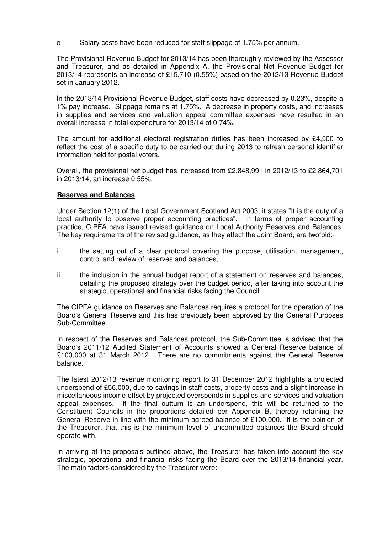e Salary costs have been reduced for staff slippage of 1.75% per annum.

The Provisional Revenue Budget for 2013/14 has been thoroughly reviewed by the Assessor and Treasurer, and as detailed in Appendix A, the Provisional Net Revenue Budget for 2013/14 represents an increase of £15,710 (0.55%) based on the 2012/13 Revenue Budget set in January 2012.

In the 2013/14 Provisional Revenue Budget, staff costs have decreased by 0.23%, despite a 1% pay increase. Slippage remains at 1.75%. A decrease in property costs, and increases in supplies and services and valuation appeal committee expenses have resulted in an overall increase in total expenditure for 2013/14 of 0.74%.

The amount for additional electoral registration duties has been increased by £4,500 to reflect the cost of a specific duty to be carried out during 2013 to refresh personal identifier information held for postal voters.

Overall, the provisional net budget has increased from £2,848,991 in 2012/13 to £2,864,701 in 2013/14, an increase 0.55%.

## **Reserves and Balances**

 Under Section 12(1) of the Local Government Scotland Act 2003, it states "It is the duty of a local authority to observe proper accounting practices". In terms of proper accounting practice, CIPFA have issued revised guidance on Local Authority Reserves and Balances. The key requirements of the revised guidance, as they affect the Joint Board, are twofold:-

- i the setting out of a clear protocol covering the purpose, utilisation, management, control and review of reserves and balances,
- ii the inclusion in the annual budget report of a statement on reserves and balances. detailing the proposed strategy over the budget period, after taking into account the strategic, operational and financial risks facing the Council.

 The CIPFA guidance on Reserves and Balances requires a protocol for the operation of the Board's General Reserve and this has previously been approved by the General Purposes Sub-Committee.

 In respect of the Reserves and Balances protocol, the Sub-Committee is advised that the Board's 2011/12 Audited Statement of Accounts showed a General Reserve balance of £103,000 at 31 March 2012. There are no commitments against the General Reserve balance.

 The latest 2012/13 revenue monitoring report to 31 December 2012 highlights a projected underspend of £56,000, due to savings in staff costs, property costs and a slight increase in miscellaneous income offset by projected overspends in supplies and services and valuation appeal expenses. If the final outturn is an underspend, this will be returned to the Constituent Councils in the proportions detailed per Appendix B, thereby retaining the General Reserve in line with the minimum agreed balance of £100,000. It is the opinion of the Treasurer, that this is the minimum level of uncommitted balances the Board should operate with.

In arriving at the proposals outlined above, the Treasurer has taken into account the key strategic, operational and financial risks facing the Board over the 2013/14 financial year. The main factors considered by the Treasurer were:-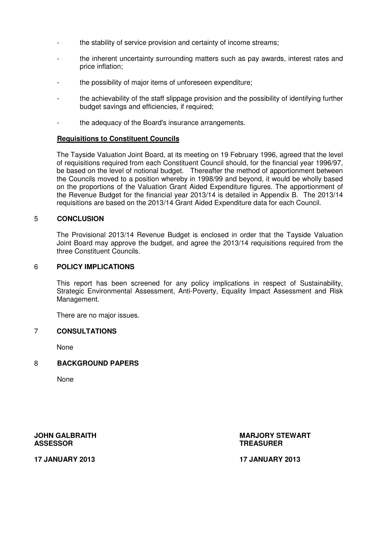- the stability of service provision and certainty of income streams;
- the inherent uncertainty surrounding matters such as pay awards, interest rates and price inflation;
- the possibility of major items of unforeseen expenditure;
- the achievability of the staff slippage provision and the possibility of identifying further budget savings and efficiencies, if required;
- the adequacy of the Board's insurance arrangements.

## **Requisitions to Constituent Councils**

 The Tayside Valuation Joint Board, at its meeting on 19 February 1996, agreed that the level of requisitions required from each Constituent Council should, for the financial year 1996/97, be based on the level of notional budget. Thereafter the method of apportionment between the Councils moved to a position whereby in 1998/99 and beyond, it would be wholly based on the proportions of the Valuation Grant Aided Expenditure figures. The apportionment of the Revenue Budget for the financial year 2013/14 is detailed in Appendix B. The 2013/14 requisitions are based on the 2013/14 Grant Aided Expenditure data for each Council.

## 5 **CONCLUSION**

 The Provisional 2013/14 Revenue Budget is enclosed in order that the Tayside Valuation Joint Board may approve the budget, and agree the 2013/14 requisitions required from the three Constituent Councils.

#### 6 **POLICY IMPLICATIONS**

 This report has been screened for any policy implications in respect of Sustainability, Strategic Environmental Assessment, Anti-Poverty, Equality Impact Assessment and Risk Management.

There are no major issues.

#### 7 **CONSULTATIONS**

None

# 8 **BACKGROUND PAPERS**

None

**ASSESSOR TREASURER** 

**JOHN GALBRAITH GALES AT A REAL PROPERTY STEWART AND MARJORY STEWART** 

**17 JANUARY 2013 17 JANUARY 2013**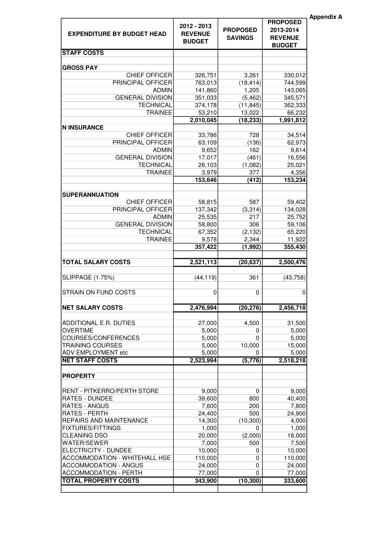| 2012 - 2013<br><b>PROPOSED</b><br>2013-2014<br><b>EXPENDITURE BY BUDGET HEAD</b><br><b>REVENUE</b><br><b>SAVINGS</b><br><b>REVENUE</b><br><b>BUDGET</b><br><b>BUDGET</b><br><b>STAFF COSTS</b><br><b>GROSS PAY</b><br><b>CHIEF OFFICER</b><br>3,261<br>326,751<br>330,012<br>PRINCIPAL OFFICER<br>763,013<br>744,599<br>(18, 414)<br>141,860<br>1,205<br>143,065<br><b>ADMIN</b><br><b>GENERAL DIVISION</b><br>351,033<br>345,571<br>(5, 462)<br><b>TECHNICAL</b><br>374,178<br>362,333<br>(11, 845)<br><b>TRAINEE</b><br>53,210<br>13,022<br>66,232<br>2,010,045<br>1,991,812<br>(18, 233)<br><b>N INSURANCE</b><br><b>CHIEF OFFICER</b><br>33,786<br>728<br>34,514<br>PRINCIPAL OFFICER<br>(136)<br>63,109<br>62,973<br>9,814<br><b>ADMIN</b><br>9,652<br>162<br><b>GENERAL DIVISION</b><br>(461)<br>16,556<br>17,017<br><b>TECHNICAL</b><br>26,103<br>25,021<br>(1,082)<br><b>TRAINEE</b><br>3,979<br>377<br>4,356<br>(412)<br>153,234<br>153,646<br><b>SUPERANNUATION</b><br><b>CHIEF OFFICER</b><br>587<br>58,815<br>59,402<br>PRINCIPAL OFFICER<br>137,342<br>(3, 314)<br>134,028<br>217<br><b>ADMIN</b><br>25,535<br>25,752<br><b>GENERAL DIVISION</b><br>306<br>58,800<br>59,106<br><b>TECHNICAL</b><br>67,352<br>65,220<br>(2, 132)<br><b>TRAINEE</b><br>2,344<br>11,922<br>9,578<br>357,422<br>355,430<br>(1, 992)<br><b>TOTAL SALARY COSTS</b><br>2,521,113<br>(20, 637)<br>2,500,476<br><b>SLIPPAGE (1.75%)</b><br>361<br>(44, 119)<br>(43, 758)<br>STRAIN ON FUND COSTS<br>$\pmb{0}$<br>$\pmb{0}$<br>$\pmb{0}$<br><b>NET SALARY COSTS</b><br>2,476,994<br>(20, 276)<br>2,456,718<br>ADDITIONAL E.R. DUTIES<br>27,000<br>4,500<br>31,500<br><b>OVERTIME</b><br>5,000<br>5,000<br>0<br>COURSES/CONFERENCES<br>$\Omega$<br>5,000<br>5,000<br><b>TRAINING COURSES</b><br>5,000<br>10,000<br>15,000<br>ADV EMPLOYMENT etc<br>5,000<br>5,000<br>0<br><b>NET STAFF COSTS</b><br>2,523,994<br>(5,776)<br>2,518,218<br><b>PROPERTY</b><br>RENT - PITKERRO/PERTH STORE<br>9,000<br>$\mathbf{0}$<br>9,000<br><b>RATES - DUNDEE</b><br>39,600<br>800<br>40,400<br><b>RATES - ANGUS</b><br>7,600<br>200<br>7,800<br>RATES - PERTH<br>24,900<br>24,400<br>500<br>REPAIRS AND MAINTENANCE<br>14,300<br>(10, 300)<br>4,000<br><b>FIXTURES/FITTINGS</b><br>1,000<br>1,000<br>0<br><b>CLEANING DSO</b><br>20,000<br>(2,000)<br>18,000<br><b>WATER/SEWER</b><br>7,500<br>7,000<br>500<br>ELECTRICITY - DUNDEE<br>10,000<br>10,000<br>$\mathbf{0}$<br>ACCOMMODATION - WHITEHALL HSE<br>110,000<br>110,000<br>0<br><b>ACCOMMODATION - ANGUS</b><br>24,000<br>24,000<br>0<br><b>ACCOMMODATION - PERTH</b><br>77,000<br>77,000<br>0<br><b>TOTAL PROPERTY COSTS</b><br>333,600 |         |           |                 | <b>Appendix A</b> |
|---------------------------------------------------------------------------------------------------------------------------------------------------------------------------------------------------------------------------------------------------------------------------------------------------------------------------------------------------------------------------------------------------------------------------------------------------------------------------------------------------------------------------------------------------------------------------------------------------------------------------------------------------------------------------------------------------------------------------------------------------------------------------------------------------------------------------------------------------------------------------------------------------------------------------------------------------------------------------------------------------------------------------------------------------------------------------------------------------------------------------------------------------------------------------------------------------------------------------------------------------------------------------------------------------------------------------------------------------------------------------------------------------------------------------------------------------------------------------------------------------------------------------------------------------------------------------------------------------------------------------------------------------------------------------------------------------------------------------------------------------------------------------------------------------------------------------------------------------------------------------------------------------------------------------------------------------------------------------------------------------------------------------------------------------------------------------------------------------------------------------------------------------------------------------------------------------------------------------------------------------------------------------------------------------------------------------------------------------------------------------------------------------------------------------------------------------------------------------------------------------------------------------------------------------------------------------------------------------------------------------------------------------------------------|---------|-----------|-----------------|-------------------|
|                                                                                                                                                                                                                                                                                                                                                                                                                                                                                                                                                                                                                                                                                                                                                                                                                                                                                                                                                                                                                                                                                                                                                                                                                                                                                                                                                                                                                                                                                                                                                                                                                                                                                                                                                                                                                                                                                                                                                                                                                                                                                                                                                                                                                                                                                                                                                                                                                                                                                                                                                                                                                                                                     |         |           | <b>PROPOSED</b> |                   |
|                                                                                                                                                                                                                                                                                                                                                                                                                                                                                                                                                                                                                                                                                                                                                                                                                                                                                                                                                                                                                                                                                                                                                                                                                                                                                                                                                                                                                                                                                                                                                                                                                                                                                                                                                                                                                                                                                                                                                                                                                                                                                                                                                                                                                                                                                                                                                                                                                                                                                                                                                                                                                                                                     |         |           |                 |                   |
|                                                                                                                                                                                                                                                                                                                                                                                                                                                                                                                                                                                                                                                                                                                                                                                                                                                                                                                                                                                                                                                                                                                                                                                                                                                                                                                                                                                                                                                                                                                                                                                                                                                                                                                                                                                                                                                                                                                                                                                                                                                                                                                                                                                                                                                                                                                                                                                                                                                                                                                                                                                                                                                                     |         |           |                 |                   |
|                                                                                                                                                                                                                                                                                                                                                                                                                                                                                                                                                                                                                                                                                                                                                                                                                                                                                                                                                                                                                                                                                                                                                                                                                                                                                                                                                                                                                                                                                                                                                                                                                                                                                                                                                                                                                                                                                                                                                                                                                                                                                                                                                                                                                                                                                                                                                                                                                                                                                                                                                                                                                                                                     |         |           |                 |                   |
|                                                                                                                                                                                                                                                                                                                                                                                                                                                                                                                                                                                                                                                                                                                                                                                                                                                                                                                                                                                                                                                                                                                                                                                                                                                                                                                                                                                                                                                                                                                                                                                                                                                                                                                                                                                                                                                                                                                                                                                                                                                                                                                                                                                                                                                                                                                                                                                                                                                                                                                                                                                                                                                                     |         |           |                 |                   |
|                                                                                                                                                                                                                                                                                                                                                                                                                                                                                                                                                                                                                                                                                                                                                                                                                                                                                                                                                                                                                                                                                                                                                                                                                                                                                                                                                                                                                                                                                                                                                                                                                                                                                                                                                                                                                                                                                                                                                                                                                                                                                                                                                                                                                                                                                                                                                                                                                                                                                                                                                                                                                                                                     |         |           |                 |                   |
|                                                                                                                                                                                                                                                                                                                                                                                                                                                                                                                                                                                                                                                                                                                                                                                                                                                                                                                                                                                                                                                                                                                                                                                                                                                                                                                                                                                                                                                                                                                                                                                                                                                                                                                                                                                                                                                                                                                                                                                                                                                                                                                                                                                                                                                                                                                                                                                                                                                                                                                                                                                                                                                                     |         |           |                 |                   |
|                                                                                                                                                                                                                                                                                                                                                                                                                                                                                                                                                                                                                                                                                                                                                                                                                                                                                                                                                                                                                                                                                                                                                                                                                                                                                                                                                                                                                                                                                                                                                                                                                                                                                                                                                                                                                                                                                                                                                                                                                                                                                                                                                                                                                                                                                                                                                                                                                                                                                                                                                                                                                                                                     |         |           |                 |                   |
|                                                                                                                                                                                                                                                                                                                                                                                                                                                                                                                                                                                                                                                                                                                                                                                                                                                                                                                                                                                                                                                                                                                                                                                                                                                                                                                                                                                                                                                                                                                                                                                                                                                                                                                                                                                                                                                                                                                                                                                                                                                                                                                                                                                                                                                                                                                                                                                                                                                                                                                                                                                                                                                                     |         |           |                 |                   |
|                                                                                                                                                                                                                                                                                                                                                                                                                                                                                                                                                                                                                                                                                                                                                                                                                                                                                                                                                                                                                                                                                                                                                                                                                                                                                                                                                                                                                                                                                                                                                                                                                                                                                                                                                                                                                                                                                                                                                                                                                                                                                                                                                                                                                                                                                                                                                                                                                                                                                                                                                                                                                                                                     |         |           |                 |                   |
|                                                                                                                                                                                                                                                                                                                                                                                                                                                                                                                                                                                                                                                                                                                                                                                                                                                                                                                                                                                                                                                                                                                                                                                                                                                                                                                                                                                                                                                                                                                                                                                                                                                                                                                                                                                                                                                                                                                                                                                                                                                                                                                                                                                                                                                                                                                                                                                                                                                                                                                                                                                                                                                                     |         |           |                 |                   |
|                                                                                                                                                                                                                                                                                                                                                                                                                                                                                                                                                                                                                                                                                                                                                                                                                                                                                                                                                                                                                                                                                                                                                                                                                                                                                                                                                                                                                                                                                                                                                                                                                                                                                                                                                                                                                                                                                                                                                                                                                                                                                                                                                                                                                                                                                                                                                                                                                                                                                                                                                                                                                                                                     |         |           |                 |                   |
|                                                                                                                                                                                                                                                                                                                                                                                                                                                                                                                                                                                                                                                                                                                                                                                                                                                                                                                                                                                                                                                                                                                                                                                                                                                                                                                                                                                                                                                                                                                                                                                                                                                                                                                                                                                                                                                                                                                                                                                                                                                                                                                                                                                                                                                                                                                                                                                                                                                                                                                                                                                                                                                                     |         |           |                 |                   |
|                                                                                                                                                                                                                                                                                                                                                                                                                                                                                                                                                                                                                                                                                                                                                                                                                                                                                                                                                                                                                                                                                                                                                                                                                                                                                                                                                                                                                                                                                                                                                                                                                                                                                                                                                                                                                                                                                                                                                                                                                                                                                                                                                                                                                                                                                                                                                                                                                                                                                                                                                                                                                                                                     |         |           |                 |                   |
|                                                                                                                                                                                                                                                                                                                                                                                                                                                                                                                                                                                                                                                                                                                                                                                                                                                                                                                                                                                                                                                                                                                                                                                                                                                                                                                                                                                                                                                                                                                                                                                                                                                                                                                                                                                                                                                                                                                                                                                                                                                                                                                                                                                                                                                                                                                                                                                                                                                                                                                                                                                                                                                                     |         |           |                 |                   |
|                                                                                                                                                                                                                                                                                                                                                                                                                                                                                                                                                                                                                                                                                                                                                                                                                                                                                                                                                                                                                                                                                                                                                                                                                                                                                                                                                                                                                                                                                                                                                                                                                                                                                                                                                                                                                                                                                                                                                                                                                                                                                                                                                                                                                                                                                                                                                                                                                                                                                                                                                                                                                                                                     |         |           |                 |                   |
|                                                                                                                                                                                                                                                                                                                                                                                                                                                                                                                                                                                                                                                                                                                                                                                                                                                                                                                                                                                                                                                                                                                                                                                                                                                                                                                                                                                                                                                                                                                                                                                                                                                                                                                                                                                                                                                                                                                                                                                                                                                                                                                                                                                                                                                                                                                                                                                                                                                                                                                                                                                                                                                                     |         |           |                 |                   |
|                                                                                                                                                                                                                                                                                                                                                                                                                                                                                                                                                                                                                                                                                                                                                                                                                                                                                                                                                                                                                                                                                                                                                                                                                                                                                                                                                                                                                                                                                                                                                                                                                                                                                                                                                                                                                                                                                                                                                                                                                                                                                                                                                                                                                                                                                                                                                                                                                                                                                                                                                                                                                                                                     |         |           |                 |                   |
|                                                                                                                                                                                                                                                                                                                                                                                                                                                                                                                                                                                                                                                                                                                                                                                                                                                                                                                                                                                                                                                                                                                                                                                                                                                                                                                                                                                                                                                                                                                                                                                                                                                                                                                                                                                                                                                                                                                                                                                                                                                                                                                                                                                                                                                                                                                                                                                                                                                                                                                                                                                                                                                                     |         |           |                 |                   |
|                                                                                                                                                                                                                                                                                                                                                                                                                                                                                                                                                                                                                                                                                                                                                                                                                                                                                                                                                                                                                                                                                                                                                                                                                                                                                                                                                                                                                                                                                                                                                                                                                                                                                                                                                                                                                                                                                                                                                                                                                                                                                                                                                                                                                                                                                                                                                                                                                                                                                                                                                                                                                                                                     |         |           |                 |                   |
|                                                                                                                                                                                                                                                                                                                                                                                                                                                                                                                                                                                                                                                                                                                                                                                                                                                                                                                                                                                                                                                                                                                                                                                                                                                                                                                                                                                                                                                                                                                                                                                                                                                                                                                                                                                                                                                                                                                                                                                                                                                                                                                                                                                                                                                                                                                                                                                                                                                                                                                                                                                                                                                                     |         |           |                 |                   |
|                                                                                                                                                                                                                                                                                                                                                                                                                                                                                                                                                                                                                                                                                                                                                                                                                                                                                                                                                                                                                                                                                                                                                                                                                                                                                                                                                                                                                                                                                                                                                                                                                                                                                                                                                                                                                                                                                                                                                                                                                                                                                                                                                                                                                                                                                                                                                                                                                                                                                                                                                                                                                                                                     |         |           |                 |                   |
|                                                                                                                                                                                                                                                                                                                                                                                                                                                                                                                                                                                                                                                                                                                                                                                                                                                                                                                                                                                                                                                                                                                                                                                                                                                                                                                                                                                                                                                                                                                                                                                                                                                                                                                                                                                                                                                                                                                                                                                                                                                                                                                                                                                                                                                                                                                                                                                                                                                                                                                                                                                                                                                                     |         |           |                 |                   |
|                                                                                                                                                                                                                                                                                                                                                                                                                                                                                                                                                                                                                                                                                                                                                                                                                                                                                                                                                                                                                                                                                                                                                                                                                                                                                                                                                                                                                                                                                                                                                                                                                                                                                                                                                                                                                                                                                                                                                                                                                                                                                                                                                                                                                                                                                                                                                                                                                                                                                                                                                                                                                                                                     |         |           |                 |                   |
|                                                                                                                                                                                                                                                                                                                                                                                                                                                                                                                                                                                                                                                                                                                                                                                                                                                                                                                                                                                                                                                                                                                                                                                                                                                                                                                                                                                                                                                                                                                                                                                                                                                                                                                                                                                                                                                                                                                                                                                                                                                                                                                                                                                                                                                                                                                                                                                                                                                                                                                                                                                                                                                                     |         |           |                 |                   |
|                                                                                                                                                                                                                                                                                                                                                                                                                                                                                                                                                                                                                                                                                                                                                                                                                                                                                                                                                                                                                                                                                                                                                                                                                                                                                                                                                                                                                                                                                                                                                                                                                                                                                                                                                                                                                                                                                                                                                                                                                                                                                                                                                                                                                                                                                                                                                                                                                                                                                                                                                                                                                                                                     |         |           |                 |                   |
|                                                                                                                                                                                                                                                                                                                                                                                                                                                                                                                                                                                                                                                                                                                                                                                                                                                                                                                                                                                                                                                                                                                                                                                                                                                                                                                                                                                                                                                                                                                                                                                                                                                                                                                                                                                                                                                                                                                                                                                                                                                                                                                                                                                                                                                                                                                                                                                                                                                                                                                                                                                                                                                                     |         |           |                 |                   |
|                                                                                                                                                                                                                                                                                                                                                                                                                                                                                                                                                                                                                                                                                                                                                                                                                                                                                                                                                                                                                                                                                                                                                                                                                                                                                                                                                                                                                                                                                                                                                                                                                                                                                                                                                                                                                                                                                                                                                                                                                                                                                                                                                                                                                                                                                                                                                                                                                                                                                                                                                                                                                                                                     |         |           |                 |                   |
|                                                                                                                                                                                                                                                                                                                                                                                                                                                                                                                                                                                                                                                                                                                                                                                                                                                                                                                                                                                                                                                                                                                                                                                                                                                                                                                                                                                                                                                                                                                                                                                                                                                                                                                                                                                                                                                                                                                                                                                                                                                                                                                                                                                                                                                                                                                                                                                                                                                                                                                                                                                                                                                                     |         |           |                 |                   |
|                                                                                                                                                                                                                                                                                                                                                                                                                                                                                                                                                                                                                                                                                                                                                                                                                                                                                                                                                                                                                                                                                                                                                                                                                                                                                                                                                                                                                                                                                                                                                                                                                                                                                                                                                                                                                                                                                                                                                                                                                                                                                                                                                                                                                                                                                                                                                                                                                                                                                                                                                                                                                                                                     |         |           |                 |                   |
|                                                                                                                                                                                                                                                                                                                                                                                                                                                                                                                                                                                                                                                                                                                                                                                                                                                                                                                                                                                                                                                                                                                                                                                                                                                                                                                                                                                                                                                                                                                                                                                                                                                                                                                                                                                                                                                                                                                                                                                                                                                                                                                                                                                                                                                                                                                                                                                                                                                                                                                                                                                                                                                                     |         |           |                 |                   |
|                                                                                                                                                                                                                                                                                                                                                                                                                                                                                                                                                                                                                                                                                                                                                                                                                                                                                                                                                                                                                                                                                                                                                                                                                                                                                                                                                                                                                                                                                                                                                                                                                                                                                                                                                                                                                                                                                                                                                                                                                                                                                                                                                                                                                                                                                                                                                                                                                                                                                                                                                                                                                                                                     |         |           |                 |                   |
|                                                                                                                                                                                                                                                                                                                                                                                                                                                                                                                                                                                                                                                                                                                                                                                                                                                                                                                                                                                                                                                                                                                                                                                                                                                                                                                                                                                                                                                                                                                                                                                                                                                                                                                                                                                                                                                                                                                                                                                                                                                                                                                                                                                                                                                                                                                                                                                                                                                                                                                                                                                                                                                                     |         |           |                 |                   |
|                                                                                                                                                                                                                                                                                                                                                                                                                                                                                                                                                                                                                                                                                                                                                                                                                                                                                                                                                                                                                                                                                                                                                                                                                                                                                                                                                                                                                                                                                                                                                                                                                                                                                                                                                                                                                                                                                                                                                                                                                                                                                                                                                                                                                                                                                                                                                                                                                                                                                                                                                                                                                                                                     |         |           |                 |                   |
|                                                                                                                                                                                                                                                                                                                                                                                                                                                                                                                                                                                                                                                                                                                                                                                                                                                                                                                                                                                                                                                                                                                                                                                                                                                                                                                                                                                                                                                                                                                                                                                                                                                                                                                                                                                                                                                                                                                                                                                                                                                                                                                                                                                                                                                                                                                                                                                                                                                                                                                                                                                                                                                                     |         |           |                 |                   |
|                                                                                                                                                                                                                                                                                                                                                                                                                                                                                                                                                                                                                                                                                                                                                                                                                                                                                                                                                                                                                                                                                                                                                                                                                                                                                                                                                                                                                                                                                                                                                                                                                                                                                                                                                                                                                                                                                                                                                                                                                                                                                                                                                                                                                                                                                                                                                                                                                                                                                                                                                                                                                                                                     |         |           |                 |                   |
|                                                                                                                                                                                                                                                                                                                                                                                                                                                                                                                                                                                                                                                                                                                                                                                                                                                                                                                                                                                                                                                                                                                                                                                                                                                                                                                                                                                                                                                                                                                                                                                                                                                                                                                                                                                                                                                                                                                                                                                                                                                                                                                                                                                                                                                                                                                                                                                                                                                                                                                                                                                                                                                                     |         |           |                 |                   |
|                                                                                                                                                                                                                                                                                                                                                                                                                                                                                                                                                                                                                                                                                                                                                                                                                                                                                                                                                                                                                                                                                                                                                                                                                                                                                                                                                                                                                                                                                                                                                                                                                                                                                                                                                                                                                                                                                                                                                                                                                                                                                                                                                                                                                                                                                                                                                                                                                                                                                                                                                                                                                                                                     |         |           |                 |                   |
|                                                                                                                                                                                                                                                                                                                                                                                                                                                                                                                                                                                                                                                                                                                                                                                                                                                                                                                                                                                                                                                                                                                                                                                                                                                                                                                                                                                                                                                                                                                                                                                                                                                                                                                                                                                                                                                                                                                                                                                                                                                                                                                                                                                                                                                                                                                                                                                                                                                                                                                                                                                                                                                                     |         |           |                 |                   |
|                                                                                                                                                                                                                                                                                                                                                                                                                                                                                                                                                                                                                                                                                                                                                                                                                                                                                                                                                                                                                                                                                                                                                                                                                                                                                                                                                                                                                                                                                                                                                                                                                                                                                                                                                                                                                                                                                                                                                                                                                                                                                                                                                                                                                                                                                                                                                                                                                                                                                                                                                                                                                                                                     |         |           |                 |                   |
|                                                                                                                                                                                                                                                                                                                                                                                                                                                                                                                                                                                                                                                                                                                                                                                                                                                                                                                                                                                                                                                                                                                                                                                                                                                                                                                                                                                                                                                                                                                                                                                                                                                                                                                                                                                                                                                                                                                                                                                                                                                                                                                                                                                                                                                                                                                                                                                                                                                                                                                                                                                                                                                                     |         |           |                 |                   |
|                                                                                                                                                                                                                                                                                                                                                                                                                                                                                                                                                                                                                                                                                                                                                                                                                                                                                                                                                                                                                                                                                                                                                                                                                                                                                                                                                                                                                                                                                                                                                                                                                                                                                                                                                                                                                                                                                                                                                                                                                                                                                                                                                                                                                                                                                                                                                                                                                                                                                                                                                                                                                                                                     |         |           |                 |                   |
|                                                                                                                                                                                                                                                                                                                                                                                                                                                                                                                                                                                                                                                                                                                                                                                                                                                                                                                                                                                                                                                                                                                                                                                                                                                                                                                                                                                                                                                                                                                                                                                                                                                                                                                                                                                                                                                                                                                                                                                                                                                                                                                                                                                                                                                                                                                                                                                                                                                                                                                                                                                                                                                                     |         |           |                 |                   |
|                                                                                                                                                                                                                                                                                                                                                                                                                                                                                                                                                                                                                                                                                                                                                                                                                                                                                                                                                                                                                                                                                                                                                                                                                                                                                                                                                                                                                                                                                                                                                                                                                                                                                                                                                                                                                                                                                                                                                                                                                                                                                                                                                                                                                                                                                                                                                                                                                                                                                                                                                                                                                                                                     |         |           |                 |                   |
|                                                                                                                                                                                                                                                                                                                                                                                                                                                                                                                                                                                                                                                                                                                                                                                                                                                                                                                                                                                                                                                                                                                                                                                                                                                                                                                                                                                                                                                                                                                                                                                                                                                                                                                                                                                                                                                                                                                                                                                                                                                                                                                                                                                                                                                                                                                                                                                                                                                                                                                                                                                                                                                                     |         |           |                 |                   |
|                                                                                                                                                                                                                                                                                                                                                                                                                                                                                                                                                                                                                                                                                                                                                                                                                                                                                                                                                                                                                                                                                                                                                                                                                                                                                                                                                                                                                                                                                                                                                                                                                                                                                                                                                                                                                                                                                                                                                                                                                                                                                                                                                                                                                                                                                                                                                                                                                                                                                                                                                                                                                                                                     |         |           |                 |                   |
|                                                                                                                                                                                                                                                                                                                                                                                                                                                                                                                                                                                                                                                                                                                                                                                                                                                                                                                                                                                                                                                                                                                                                                                                                                                                                                                                                                                                                                                                                                                                                                                                                                                                                                                                                                                                                                                                                                                                                                                                                                                                                                                                                                                                                                                                                                                                                                                                                                                                                                                                                                                                                                                                     |         |           |                 |                   |
|                                                                                                                                                                                                                                                                                                                                                                                                                                                                                                                                                                                                                                                                                                                                                                                                                                                                                                                                                                                                                                                                                                                                                                                                                                                                                                                                                                                                                                                                                                                                                                                                                                                                                                                                                                                                                                                                                                                                                                                                                                                                                                                                                                                                                                                                                                                                                                                                                                                                                                                                                                                                                                                                     |         |           |                 |                   |
|                                                                                                                                                                                                                                                                                                                                                                                                                                                                                                                                                                                                                                                                                                                                                                                                                                                                                                                                                                                                                                                                                                                                                                                                                                                                                                                                                                                                                                                                                                                                                                                                                                                                                                                                                                                                                                                                                                                                                                                                                                                                                                                                                                                                                                                                                                                                                                                                                                                                                                                                                                                                                                                                     |         |           |                 |                   |
|                                                                                                                                                                                                                                                                                                                                                                                                                                                                                                                                                                                                                                                                                                                                                                                                                                                                                                                                                                                                                                                                                                                                                                                                                                                                                                                                                                                                                                                                                                                                                                                                                                                                                                                                                                                                                                                                                                                                                                                                                                                                                                                                                                                                                                                                                                                                                                                                                                                                                                                                                                                                                                                                     |         |           |                 |                   |
|                                                                                                                                                                                                                                                                                                                                                                                                                                                                                                                                                                                                                                                                                                                                                                                                                                                                                                                                                                                                                                                                                                                                                                                                                                                                                                                                                                                                                                                                                                                                                                                                                                                                                                                                                                                                                                                                                                                                                                                                                                                                                                                                                                                                                                                                                                                                                                                                                                                                                                                                                                                                                                                                     |         |           |                 |                   |
|                                                                                                                                                                                                                                                                                                                                                                                                                                                                                                                                                                                                                                                                                                                                                                                                                                                                                                                                                                                                                                                                                                                                                                                                                                                                                                                                                                                                                                                                                                                                                                                                                                                                                                                                                                                                                                                                                                                                                                                                                                                                                                                                                                                                                                                                                                                                                                                                                                                                                                                                                                                                                                                                     |         |           |                 |                   |
|                                                                                                                                                                                                                                                                                                                                                                                                                                                                                                                                                                                                                                                                                                                                                                                                                                                                                                                                                                                                                                                                                                                                                                                                                                                                                                                                                                                                                                                                                                                                                                                                                                                                                                                                                                                                                                                                                                                                                                                                                                                                                                                                                                                                                                                                                                                                                                                                                                                                                                                                                                                                                                                                     |         |           |                 |                   |
|                                                                                                                                                                                                                                                                                                                                                                                                                                                                                                                                                                                                                                                                                                                                                                                                                                                                                                                                                                                                                                                                                                                                                                                                                                                                                                                                                                                                                                                                                                                                                                                                                                                                                                                                                                                                                                                                                                                                                                                                                                                                                                                                                                                                                                                                                                                                                                                                                                                                                                                                                                                                                                                                     | 343,900 | (10, 300) |                 |                   |
|                                                                                                                                                                                                                                                                                                                                                                                                                                                                                                                                                                                                                                                                                                                                                                                                                                                                                                                                                                                                                                                                                                                                                                                                                                                                                                                                                                                                                                                                                                                                                                                                                                                                                                                                                                                                                                                                                                                                                                                                                                                                                                                                                                                                                                                                                                                                                                                                                                                                                                                                                                                                                                                                     |         |           |                 |                   |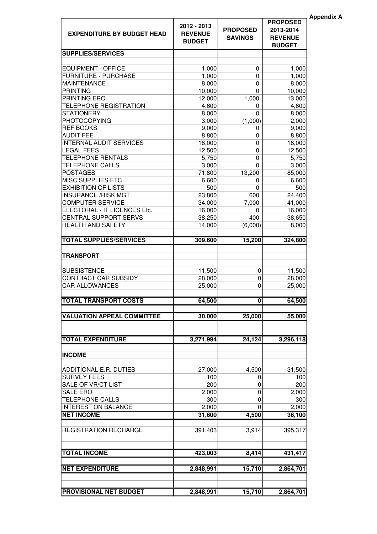| <b>EXPENDITURE BY BUDGET HEAD</b>                  | 2012 - 2013<br><b>REVENUE</b><br><b>BUDGET</b> | <b>PROPOSED</b><br><b>SAVINGS</b> | <b>PROPOSED</b><br>2013-2014<br><b>REVENUE</b><br><b>BUDGET</b> | <b>Appendix A</b> |
|----------------------------------------------------|------------------------------------------------|-----------------------------------|-----------------------------------------------------------------|-------------------|
| <b>SUPPLIES/SERVICES</b>                           |                                                |                                   |                                                                 |                   |
|                                                    |                                                |                                   |                                                                 |                   |
| <b>EQUIPMENT - OFFICE</b>                          | 1,000                                          | 0                                 | 1,000                                                           |                   |
| <b>FURNITURE - PURCHASE</b>                        | 1,000                                          | 0                                 | 1,000                                                           |                   |
| <b>MAINTENANCE</b>                                 | 8,000                                          | 0                                 | 8,000                                                           |                   |
| <b>PRINTING</b>                                    | 10,000                                         | 0                                 | 10,000                                                          |                   |
| PRINTING ERO                                       | 12,000                                         | 1,000                             | 13,000                                                          |                   |
| <b>TELEPHONE REGISTRATION</b><br><b>STATIONERY</b> | 4,600                                          | 0<br>0                            | 4,600                                                           |                   |
| <b>PHOTOCOPYING</b>                                | 8,000                                          |                                   | 8,000                                                           |                   |
| <b>REF BOOKS</b>                                   | 3,000<br>9,000                                 | (1,000)<br>0                      | 2,000<br>9,000                                                  |                   |
| <b>AUDIT FEE</b>                                   | 8,800                                          | 0                                 | 8,800                                                           |                   |
| <b>INTERNAL AUDIT SERVICES</b>                     | 18,000                                         | 0                                 | 18,000                                                          |                   |
| <b>LEGAL FEES</b>                                  | 12,500                                         | 0                                 | 12,500                                                          |                   |
| <b>TELEPHONE RENTALS</b>                           | 5,750                                          | 0                                 | 5,750                                                           |                   |
| <b>TELEPHONE CALLS</b>                             | 3,000                                          | 0                                 | 3,000                                                           |                   |
| <b>POSTAGES</b>                                    | 71,800                                         | 13,200                            | 85,000                                                          |                   |
| <b>MISC SUPPLIES ETC</b>                           | 6,600                                          | 0                                 | 6,600                                                           |                   |
| <b>EXHIBITION OF LISTS</b>                         | 500                                            | 0                                 | 500                                                             |                   |
| <b>INSURANCE /RISK MGT</b>                         | 23,800                                         | 600                               | 24,400                                                          |                   |
| <b>COMPUTER SERVICE</b>                            | 34,000                                         | 7,000                             | 41,000                                                          |                   |
| ELECTORAL - IT LICENCES Etc.                       | 16,000                                         | 0                                 | 16,000                                                          |                   |
| <b>CENTRAL SUPPORT SERVS</b>                       | 38,250                                         | 400                               | 38,650                                                          |                   |
| <b>HEALTH AND SAFETY</b>                           | 14,000                                         | (6,000)                           | 8,000                                                           |                   |
| <b>TOTAL SUPPLIES/SERVICES</b>                     | 309,600                                        | 15,200                            | 324,800                                                         |                   |
| <b>TRANSPORT</b>                                   |                                                |                                   |                                                                 |                   |
|                                                    |                                                |                                   |                                                                 |                   |
| <b>SUBSISTENCE</b>                                 | 11,500                                         | 0                                 | 11,500                                                          |                   |
| CONTRACT CAR SUBSIDY                               | 28,000                                         | 0                                 | 28,000                                                          |                   |
| <b>CAR ALLOWANCES</b>                              | 25,000                                         | 0                                 | 25,000                                                          |                   |
| <b>TOTAL TRANSPORT COSTS</b>                       | 64,500                                         | $\mathbf{0}$                      | 64,500                                                          |                   |
| <b>VALUATION APPEAL COMMITTEE</b>                  | 30,000                                         | 25,000                            | 55,000                                                          |                   |
|                                                    |                                                |                                   |                                                                 |                   |
| <b>TOTAL EXPENDITURE</b>                           | 3,271,994                                      | 24,124                            | 3,296,118                                                       |                   |
| <b>INCOME</b>                                      |                                                |                                   |                                                                 |                   |
| ADDITIONAL E.R. DUTIES                             | 27,000                                         | 4,500                             | 31,500                                                          |                   |
| <b>SURVEY FEES</b>                                 | 100                                            | 0                                 | 100                                                             |                   |
| SALE OF VR/CT LIST                                 | 200                                            | 0                                 | 200                                                             |                   |
| <b>SALE ERO</b>                                    | 2,000                                          | 0                                 | 2,000                                                           |                   |
| <b>TELEPHONE CALLS</b>                             | 300                                            | 0                                 | 300                                                             |                   |
| <b>INTEREST ON BALANCE</b>                         | 2,000                                          | $\mathbf 0$                       | 2,000                                                           |                   |
| <b>NET INCOME</b>                                  | 31,600                                         | 4,500                             | 36,100                                                          |                   |
| <b>REGISTRATION RECHARGE</b>                       | 391,403                                        | 3,914                             | 395,317                                                         |                   |
|                                                    |                                                |                                   |                                                                 |                   |
| <b>TOTAL INCOME</b>                                | 423,003                                        | 8,414                             | 431,417                                                         |                   |
| <b>NET EXPENDITURE</b>                             | 2,848,991                                      | 15,710                            | 2,864,701                                                       |                   |
|                                                    |                                                |                                   |                                                                 |                   |
| <b>PROVISIONAL NET BUDGET</b>                      | 2,848,991                                      | 15,710                            | 2,864,701                                                       |                   |